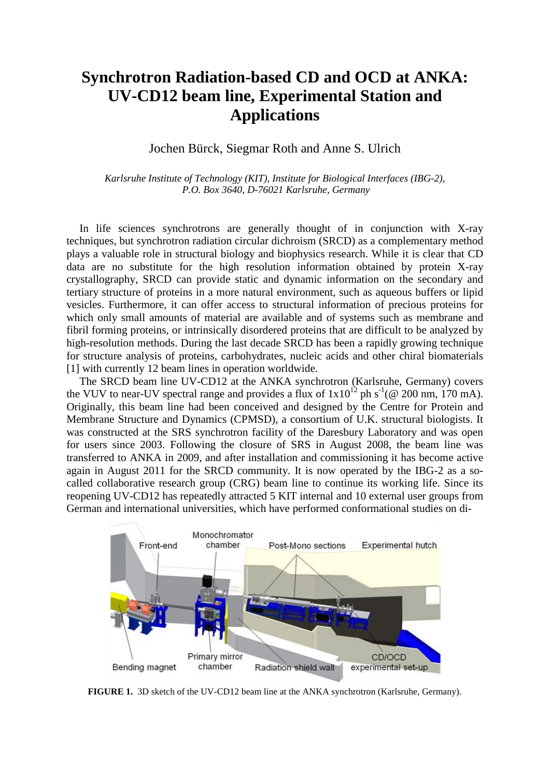## **Synchrotron Radiation-based CD and OCD at ANKA: UV-CD12 beam line, Experimental Station and Applications**

Jochen Bürck, Siegmar Roth and Anne S. Ulrich

*Karlsruhe Institute of Technology (KIT), Institute for Biological Interfaces (IBG-2), P.O. Box 3640, D-76021 Karlsruhe, Germany*

In life sciences synchrotrons are generally thought of in conjunction with X-ray techniques, but synchrotron radiation circular dichroism (SRCD) as a complementary method plays a valuable role in structural biology and biophysics research. While it is clear that CD data are no substitute for the high resolution information obtained by protein X-ray crystallography, SRCD can provide static and dynamic information on the secondary and tertiary structure of proteins in a more natural environment, such as aqueous buffers or lipid vesicles. Furthermore, it can offer access to structural information of precious proteins for which only small amounts of material are available and of systems such as membrane and fibril forming proteins, or intrinsically disordered proteins that are difficult to be analyzed by high-resolution methods. During the last decade SRCD has been a rapidly growing technique for structure analysis of proteins, carbohydrates, nucleic acids and other chiral biomaterials [1] with currently 12 beam lines in operation worldwide.

The SRCD beam line UV-CD12 at the ANKA synchrotron (Karlsruhe, Germany) covers the VUV to near-UV spectral range and provides a flux of  $1x10^{12}$  ph s<sup>-1</sup>(@ 200 nm, 170 mA). Originally, this beam line had been conceived and designed by the Centre for Protein and Membrane Structure and Dynamics (CPMSD), a consortium of U.K. structural biologists. It was constructed at the SRS synchrotron facility of the Daresbury Laboratory and was open for users since 2003. Following the closure of SRS in August 2008, the beam line was transferred to ANKA in 2009, and after installation and commissioning it has become active again in August 2011 for the SRCD community. It is now operated by the IBG-2 as a socalled collaborative research group (CRG) beam line to continue its working life. Since its reopening UV-CD12 has repeatedly attracted 5 KIT internal and 10 external user groups from German and international universities, which have performed conformational studies on di-



**FIGURE 1.** 3D sketch of the UV-CD12 beam line at the ANKA synchrotron (Karlsruhe, Germany).